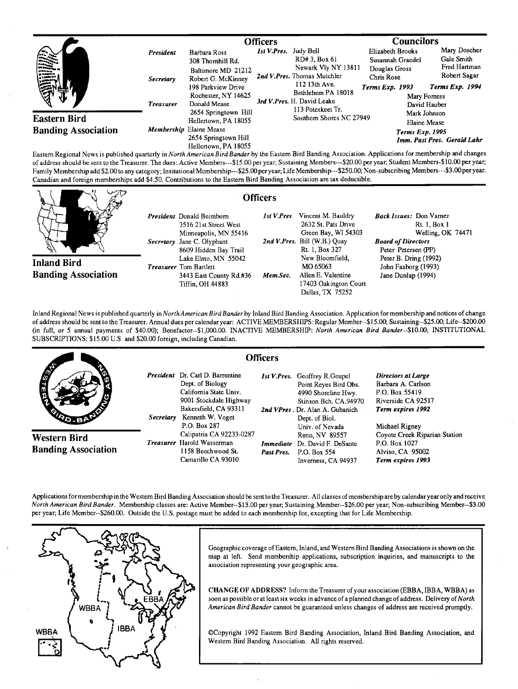|                            |                  | <b>Officers</b>                                                         |                                                                     |                                                                       | <b>Councilors</b>                    |                                            |
|----------------------------|------------------|-------------------------------------------------------------------------|---------------------------------------------------------------------|-----------------------------------------------------------------------|--------------------------------------|--------------------------------------------|
|                            | <b>President</b> | Barbara Ross<br>308 Thomhill Rd.                                        | Ist V.Pres. Judy Bell                                               | RD# 3, Box 61                                                         | Elizabeth Brooks<br>Susannah Graedel | Mary Doscher<br>Gale Smith<br>Fred Hartman |
| YИ                         | Secretary        | Baltimore MD 21212<br>Robert G. McKinney<br>198 Parkview Drive          | Newark Vly NY 13811<br>2nd V.Pres. Thomas Mutchler<br>112 13th Ave. | Douglas Gross<br>Chris Rose<br><b>Terms Exp. 1993</b>                 | Robert Sagar<br>Terms Exp. 1994      |                                            |
|                            | <b>Treasurer</b> | Rochester, NY 14625<br>Donald Mease                                     |                                                                     | Bethlehem PA 18018<br>3rd V.Pres. H. David Leake<br>113 Poteskeet Tr. |                                      | Mary Formess<br>David Hauber               |
| <b>Eastern Bird</b>        |                  | 2654 Springtown Hill<br>Hellertown, PA 18055                            |                                                                     | Southern Shores NC 27949                                              | Mark Johnson<br>Elaine Mease         |                                            |
| <b>Banding Association</b> |                  | Membership Elaine Mease<br>2654 Springtown Hill<br>Hellertown, PA 18055 |                                                                     |                                                                       | Terms Exp. 1995                      | Imm. Past Pres. Gerald Lahr                |

**Eastem Regional News is published quarterly in North American BirdBander by the Eastem Bird Banding Association. Applications for membership and changes**  of address should be sent to the Treasurer. The dues: Active Members---\$15.00 per year; Sustaining Members---\$20.00 per year; Student Members-\$10.00 per year; **Family Membership add \$2.00 to any category; Insitutional Membership---S25.00 per year; Life Membership---S250.00; Non-subscribing Members---S3.00 per year. Canadian and foreign memberships add \$4.50. Contributions to the Eastem Bird Banding Association are tax deductible.** 

|                            | <b>Officers</b>                                                              |            |                                                                  |                                                             |
|----------------------------|------------------------------------------------------------------------------|------------|------------------------------------------------------------------|-------------------------------------------------------------|
|                            | President Donald Beimborn<br>3516 21st Street West                           | 1st V.Pres | Vincent M. Bauldry<br>2632 St. Pats Drive<br>Green Bay, WI 54303 | Back Issues: Don Vamer<br>Rt. 1, Box 1<br>Welling, OK 74471 |
|                            | Minneapolis, MN 55416<br>Secretary Jane C. Olyphant<br>8609 Hidden Bay Trail |            | 2nd V.Pres. Bill (W.B.) Quay<br>Rt. 1, Box 327                   | <b>Board of Directors</b><br>Peter Petersen (PP)            |
| <b>Inland Bird</b>         | Lake Elmo, MN 55042<br><b>Treasurer</b> Tom Bartlett                         |            | New Bloomfield.<br>MO 65063                                      | Peter B. Dring (1992)<br>John Faaborg (1993)                |
| <b>Banding Association</b> | 3443 East County Rd.#36<br><b>Tiffin, OH 44883</b>                           | Mem.Sec.   | Allen E. Valentine<br>17403 Oakington Court<br>Dallas, TX 75252  | Jane Dunlap (1994)                                          |

**Inland Regional News is published quarterly in NorthAmerican Bird Bander by Inland Bird Banding Association. Application for membership and notices of change of address should be sent to the Treasurer. Annual dues per calendar year: ACTIVE MEMBERSHIPS: Regular Member--\$15.00; Su staining--S25.00; Life--S200.00 (in full, or 5 annual payments of \$40.00); Benefactor--S1,000.00. INACTIVE MEMBERSHIP: North American Bird Bander--S10.00; INSTITUTIONAL SUBSCRIPTIONS: \$15.00 U.S. and \$20.00 foreign, including Canadian.** 

|                                            |           | <b>Officers</b>                                                                                                                                      |            |                                                                                                                                                                    |                                                                                                              |
|--------------------------------------------|-----------|------------------------------------------------------------------------------------------------------------------------------------------------------|------------|--------------------------------------------------------------------------------------------------------------------------------------------------------------------|--------------------------------------------------------------------------------------------------------------|
| <b>AND</b>                                 | Secretary | President Dr. Carl D. Barrentine<br>Dept. of Biology<br>Califomia State Univ.<br>9001 Stockdale Highway<br>Bakersfield, CA 93311<br>Kenneth W. Voget |            | <b>Ist V.Pres.</b> Geoffrey R.Geupel<br>Point Reyes Bird Obs.<br>4990 Shoreline Hwy.<br>Stinson Bch. CA.94970<br>2nd VPres. Dr. Alan A. Gubanich<br>Dept. of Biol. | <b>Directors at Large</b><br>Barbara A. Carlson<br>P.O. Box 55419<br>Riverside CA 92517<br>Term expires 1992 |
| Western Bird<br><b>Banding Association</b> |           | P.O. Box 287<br>Calipatria CA 92233-0287<br><b>Treasurer</b> Harold Wasserman<br>1158 Beechwood St.<br>Camarillo CA 93010                            | Past Pres. | Univ. of Nevada<br>Reno, NV 89557<br><b>Immediate</b> Dr. David F. DeSante<br>P.O. Box 554<br>Inverness, CA 94937                                                  | Michael Rigney<br>Coyote Creek Riparian Station<br>P.O. Box 1027<br>Alviso, CA 95002<br>Term expires 1993    |

Applications for membership in the Westem Bird Banding Association should be sent to the Treasurer. All classes of membership are by calendar year only and receive **North American Bird Bander. Membership classes are: Active Member--S13.00 per year; Sustaining Member--S26.00 per year; Non-subscribing Member--S3.00 per year; Life Member--S260.00. Outside the U.S. postage must be added to each membership fee, excepting that for Life Membership.** 



Geographic coverage of Eastern, Inland, and Western Bird Banding Associations is shown on the **map at left. Send membership applications, subscription inquiries, and manuscripts to the association representing your geographic area.** 

**CHANGE OF ADDRESS? Inform the Treasurer of your association (EBBA, IBBA, WBBA) as**  soon as possible or at least six weeks in advance of a planned change of address. Delivery of North **American Bird Bander cannot be guaranteed unless changes of address are received promptly.** 

**¸Copyright 1992 Eastem Bird Banding Association, Inland Bird Banding Association, and Westem Bird Banding Association. All rights reserved.**